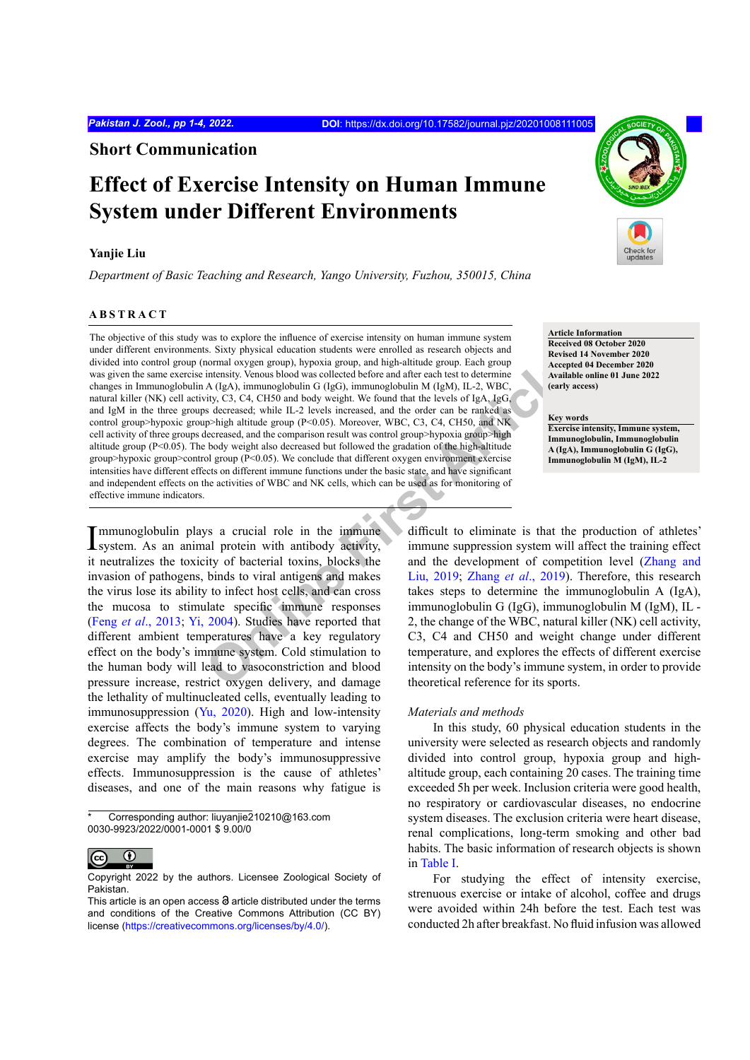**Short Communication**

# **Effect of Exercise Intensity on Human Immune System under Different Environments**

## **Yanjie Liu**

*Department of Basic Teaching and Research, Yango University, Fuzhou, 350015, China*

# **ABSTRACT**

normal oxygen group), hypoxia group, and high-altitude group. Each group<br>
intensity. Venous blood was collected before and after each test to determine<br>
Article Article Article Article Article and the set is to determine<br> The objective of this study was to explore the influence of exercise intensity on human immune system under different environments. Sixty physical education students were enrolled as research objects and divided into control group (normal oxygen group), hypoxia group, and high-altitude group. Each group was given the same exercise intensity. Venous blood was collected before and after each test to determine changes in Immunoglobulin A (IgA), immunoglobulin G (IgG), immunoglobulin M (IgM), IL-2, WBC, natural killer (NK) cell activity, C3, C4, CH50 and body weight. We found that the levels of IgA, IgG, and IgM in the three groups decreased; while IL-2 levels increased, and the order can be ranked as control group>hypoxic group>high altitude group ( $P<0.05$ ). Moreover, WBC, C3, C4, CH50, and NK cell activity of three groups decreased, and the comparison result was control group>hypoxia group>high altitude group (P<0.05). The body weight also decreased but followed the gradation of the high-altitude group>hypoxic group>control group (P<0.05). We conclude that different oxygen environment exercise intensities have different effects on different immune functions under the basic state, and have significant and independent effects on the activities of WBC and NK cells, which can be used as for monitoring of effective immune indicators.

Immunoglobulin plays a crucial role in the immune system. As an animal protein with antibody activity, system. As an animal protein with antibody activity, it neutralizes the toxicity of bacterial toxins, blocks the invasion of pathogens, binds to viral antigens and makes the virus lose its ability to infect host cells, and can cross the mucosa to stimulate specific immune responses (Feng *et al*[., 2013;](#page-3-0) [Yi, 2004](#page-3-1)). Studies have reported that different ambient temperatures have a key regulatory effect on the body's immune system. Cold stimulation to the human body will lead to vasoconstriction and blood pressure increase, restrict oxygen delivery, and damage the lethality of multinucleated cells, eventually leading to immunosuppression [\(Yu, 2020](#page-3-2)). High and low-intensity exercise affects the body's immune system to varying degrees. The combination of temperature and intense exercise may amplify the body's immunosuppressive effects. Immunosuppression is the cause of athletes' diseases, and one of the main reasons why fatigue is

Corresponding author: liuvaniie210210@163.com 0030-9923/2022/0001-0001 \$ 9.00/0



Copyright 2022 by the authors. Licensee Zoological Society of Pakistan.



**Article Information Received 08 October 2020 Revised 14 November 2020 Accepted 04 December 2020 Available online 01 June 2022 (early access)**

**Key words Exercise intensity, Immune system, Immunoglobulin, Immunoglobulin A (IgA), Immunoglobulin G (IgG), Immunoglobulin M (IgM), IL-2**

difficult to eliminate is that the production of athletes' immune suppression system will affect the training effect and the development of competition level ([Zhang and](#page-3-3) Liu, 2019; Zhang *et al*., 2019). Therefore, this research takes steps to determine the immunoglobulin A (IgA), immunoglobulin G (IgG), immunoglobulin M (IgM), IL - 2, the change of the WBC, natural killer (NK) cell activity, C3, C4 and CH50 and weight change under different temperature, and explores the effects of different exercise intensity on the body's immune system, in order to provide theoretical reference for its sports.

## *Materials and methods*

In this study, 60 physical education students in the university were selected as research objects and randomly divided into control group, hypoxia group and highaltitude group, each containing 20 cases. The training time exceeded 5h per week. Inclusion criteria were good health, no respiratory or cardiovascular diseases, no endocrine system diseases. The exclusion criteria were heart disease, renal complications, long-term smoking and other bad habits. The basic information of research objects is shown in [Table I](#page-2-0).

For studying the effect of intensity exercise, strenuous exercise or intake of alcohol, coffee and drugs were avoided within 24h before the test. Each test was conducted 2h after breakfast. No fluid infusion was allowed

This article is an open access  $\Theta$  article distributed under the terms and conditions of the Creative Commons Attribution (CC BY) license (<https://creativecommons.org/licenses/by/4.0/>).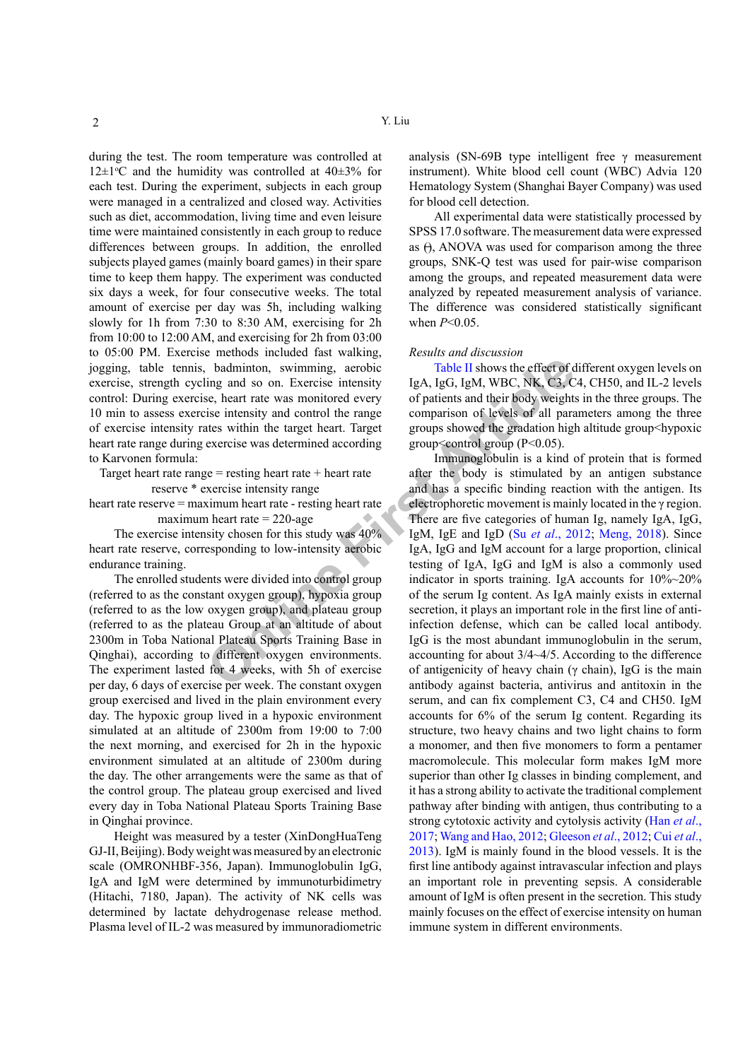during the test. The room temperature was controlled at  $12 \pm 1$ <sup>o</sup>C and the humidity was controlled at  $40 \pm 3$ % for each test. During the experiment, subjects in each group were managed in a centralized and closed way. Activities such as diet, accommodation, living time and even leisure time were maintained consistently in each group to reduce differences between groups. In addition, the enrolled subjects played games (mainly board games) in their spare time to keep them happy. The experiment was conducted six days a week, for four consecutive weeks. The total amount of exercise per day was 5h, including walking slowly for 1h from 7:30 to 8:30 AM, exercising for 2h from 10:00 to 12:00 AM, and exercising for 2h from 03:00 to 05:00 PM. Exercise methods included fast walking, jogging, table tennis, badminton, swimming, aerobic exercise, strength cycling and so on. Exercise intensity control: During exercise, heart rate was monitored every 10 min to assess exercise intensity and control the range of exercise intensity rates within the target heart. Target heart rate range during exercise was determined according to Karvonen formula:

Target heart rate range  $=$  resting heart rate  $+$  heart rate reserve \* exercise intensity range

heart rate reserve = maximum heart rate - resting heart rate maximum heart rate  $= 220$ -age

The exercise intensity chosen for this study was 40% heart rate reserve, corresponding to low-intensity aerobic endurance training.

The enrolled students were divided into control group (referred to as the constant oxygen group), hypoxia group (referred to as the low oxygen group), and plateau group (referred to as the plateau Group at an altitude of about 2300m in Toba National Plateau Sports Training Base in Qinghai), according to different oxygen environments. The experiment lasted for 4 weeks, with 5h of exercise per day, 6 days of exercise per week. The constant oxygen group exercised and lived in the plain environment every day. The hypoxic group lived in a hypoxic environment simulated at an altitude of 2300m from 19:00 to 7:00 the next morning, and exercised for 2h in the hypoxic environment simulated at an altitude of 2300m during the day. The other arrangements were the same as that of the control group. The plateau group exercised and lived every day in Toba National Plateau Sports Training Base in Qinghai province.

Height was measured by a tester (XinDongHuaTeng GJ-II, Beijing). Body weight was measured by an electronic scale (OMRONHBF-356, Japan). Immunoglobulin IgG, IgA and IgM were determined by immunoturbidimetry (Hitachi, 7180, Japan). The activity of NK cells was determined by lactate dehydrogenase release method. Plasma level of IL-2 was measured by immunoradiometric analysis (SN-69B type intelligent free  $\gamma$  measurement instrument). White blood cell count (WBC) Advia 120 Hematology System (Shanghai Bayer Company) was used for blood cell detection.

All experimental data were statistically processed by SPSS 17.0 software. The measurement data were expressed as  $\theta$ , ANOVA was used for comparison among the three groups, SNK-Q test was used for pair-wise comparison among the groups, and repeated measurement data were analyzed by repeated measurement analysis of variance. The difference was considered statistically significant when *P*<0.05.

#### *Results and discussion*

Table II shows the effect of different oxygen levels on IgA, IgG, IgM, WBC, NK, C3, C4, CH50, and IL-2 levels of patients and their body weights in the three groups. The comparison of levels of all parameters among the three groups showed the gradation high altitude group<hypoxic group $\leq$ control group (P $\leq$ 0.05).

**Online First Article** Immunoglobulin is a kind of protein that is formed after the body is stimulated by an antigen substance and has a specific binding reaction with the antigen. Its electrophoretic movement is mainly located in the γ region. There are five categories of human Ig, namely IgA, IgG, IgM, IgE and IgD (Su *et al*., 2012; [Meng, 2018](#page-3-6)). Since IgA, IgG and IgM account for a large proportion, clinical testing of IgA, IgG and IgM is also a commonly used indicator in sports training. IgA accounts for 10%~20% of the serum Ig content. As IgA mainly exists in external secretion, it plays an important role in the first line of antiinfection defense, which can be called local antibody. IgG is the most abundant immunoglobulin in the serum, accounting for about 3/4~4/5. According to the difference of antigenicity of heavy chain ( $\gamma$  chain), IgG is the main antibody against bacteria, antivirus and antitoxin in the serum, and can fix complement C3, C4 and CH50. IgM accounts for 6% of the serum Ig content. Regarding its structure, two heavy chains and two light chains to form a monomer, and then five monomers to form a pentamer macromolecule. This molecular form makes IgM more superior than other Ig classes in binding complement, and it has a strong ability to activate the traditional complement pathway after binding with antigen, thus contributing to a strong cytotoxic activity and cytolysis activity ([Han](#page-3-7) *et al*., [2017;](#page-3-7) [Wang and Hao, 2012](#page-3-8); [Gleeson](#page-3-9) *et al*., 2012; [Cui](#page-3-10) *et al*., [2013\)](#page-3-10). IgM is mainly found in the blood vessels. It is the first line antibody against intravascular infection and plays an important role in preventing sepsis. A considerable amount of IgM is often present in the secretion. This study mainly focuses on the effect of exercise intensity on human immune system in different environments.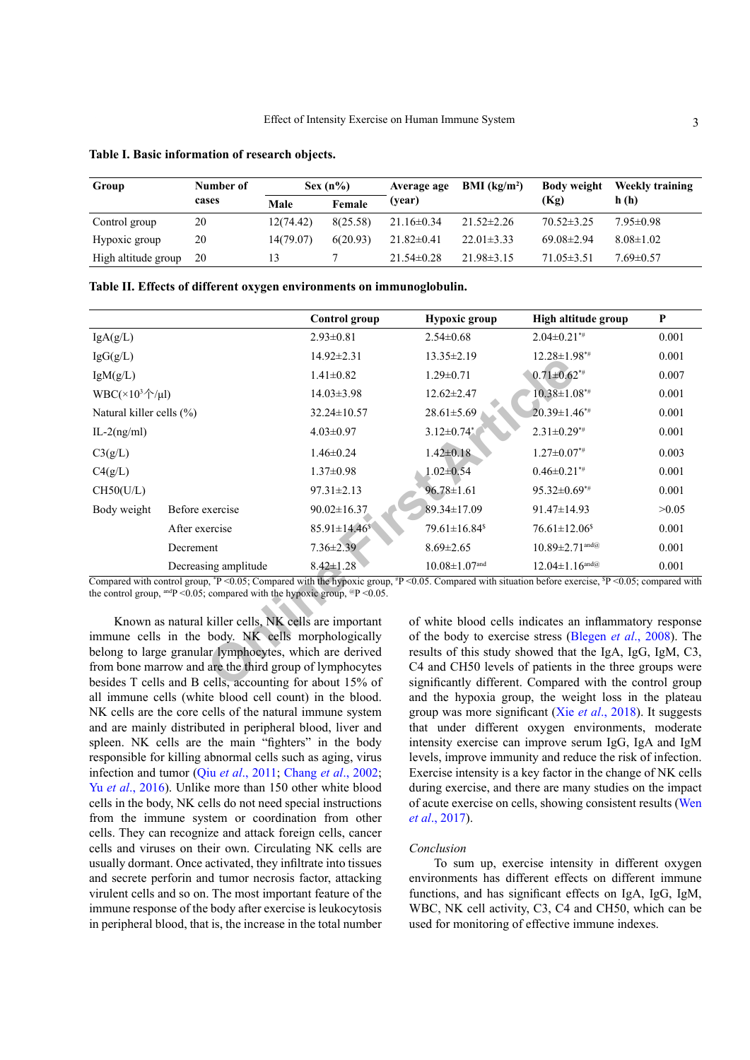| Group               | Number of |           | $Sex(n\%)$ | Average age<br>(year) | BMI (kg/m <sup>2</sup> ) | <b>Body weight</b><br>(Kg) | Weekly training<br>h(h) |
|---------------------|-----------|-----------|------------|-----------------------|--------------------------|----------------------------|-------------------------|
|                     | cases     | Male      | Female     |                       |                          |                            |                         |
| Control group       | 20        | 12(74.42) | 8(25.58)   | $21.16 \pm 0.34$      | $21.52 \pm 2.26$         | $70.52 \pm 3.25$           | $7.95 \pm 0.98$         |
| Hypoxic group       | 20        | 14(79.07) | 6(20.93)   | $21.82 \pm 0.41$      | $22.01 \pm 3.33$         | $69.08\pm2.94$             | $8.08 \pm 1.02$         |
| High altitude group | 20        |           |            | $21.54\pm0.28$        | $21.98\pm3.15$           | $71.05\pm3.51$             | $7.69 \pm 0.57$         |

<span id="page-2-0"></span>**Table I. Basic information of research objects.**

<span id="page-2-1"></span>

|  |  |  | Table II. Effects of different oxygen environments on immunoglobulin. |
|--|--|--|-----------------------------------------------------------------------|
|  |  |  |                                                                       |
|  |  |  |                                                                       |

|                                                         |                                                                                                                                                                                                                                                                                           | <b>Control</b> group            | Hypoxic group                                                     | High altitude group             | P     |  |  |
|---------------------------------------------------------|-------------------------------------------------------------------------------------------------------------------------------------------------------------------------------------------------------------------------------------------------------------------------------------------|---------------------------------|-------------------------------------------------------------------|---------------------------------|-------|--|--|
| IgA(g/L)                                                |                                                                                                                                                                                                                                                                                           | $2.93 \pm 0.81$                 | $2.54\pm0.68$                                                     | $2.04 \pm 0.21$ <sup>*#</sup>   | 0.001 |  |  |
| IgG(g/L)                                                |                                                                                                                                                                                                                                                                                           | 14.92±2.31                      | $13.35 \pm 2.19$                                                  | $12.28 \pm 1.98$ <sup>**</sup>  | 0.001 |  |  |
| IgM(g/L)                                                |                                                                                                                                                                                                                                                                                           | $1.41 \pm 0.82$                 | $1.29 \pm 0.71$                                                   | $0.71 \pm 0.62$ **              | 0.007 |  |  |
| WBC( $\times$ 10 <sup>3</sup> $\uparrow$ / $\upmu$ l)   |                                                                                                                                                                                                                                                                                           | $14.03 \pm 3.98$                | $12.62 \pm 2.47$                                                  | $10.38 \pm 1.08**$              | 0.001 |  |  |
| Natural killer cells (%)                                |                                                                                                                                                                                                                                                                                           | $32.24 \pm 10.57$               | $28.61 \pm 5.69$                                                  | $20.39 \pm 1.46$ **             | 0.001 |  |  |
| $IL-2(ng/ml)$                                           |                                                                                                                                                                                                                                                                                           | $4.03 \pm 0.97$                 | $3.12 \pm 0.74$ *                                                 | $2.31 \pm 0.29$ **              | 0.001 |  |  |
| C3(g/L)                                                 |                                                                                                                                                                                                                                                                                           | $1.46 \pm 0.24$                 | $1.42 \pm 0.18$                                                   | $1.27 \pm 0.07^{**}$            | 0.003 |  |  |
| C4(g/L)                                                 |                                                                                                                                                                                                                                                                                           | $1.37 \pm 0.98$                 | $1.02 \pm 0.54$                                                   | $0.46 \pm 0.21$ <sup>*#</sup>   | 0.001 |  |  |
| CH50(U/L)                                               |                                                                                                                                                                                                                                                                                           | $97.31 \pm 2.13$                | $96.78 \pm 1.61$                                                  | $95.32 \pm 0.69^{**}$           | 0.001 |  |  |
| Body weight                                             | Before exercise                                                                                                                                                                                                                                                                           | $90.02 \pm 16.37$               | 89.34±17.09                                                       | 91.47±14.93                     | >0.05 |  |  |
|                                                         | After exercise                                                                                                                                                                                                                                                                            | $85.91 \pm 14.46$ <sup>\$</sup> | $79.61 \pm 16.84$ <sup>\$</sup>                                   | $76.61 \pm 12.06$ <sup>\$</sup> | 0.001 |  |  |
|                                                         | Decrement                                                                                                                                                                                                                                                                                 | $7.36 \pm 2.39$                 | $8.69 \pm 2.65$                                                   | $10.89 \pm 2.71$ and @          | 0.001 |  |  |
|                                                         | Decreasing amplitude                                                                                                                                                                                                                                                                      | $8.42 \pm 1.28$                 | $10.08 \pm 1.07$ and                                              | $12.04 \pm 1.16$ and @          | 0.001 |  |  |
|                                                         | Compared with control group, $P < 0.05$ ; Compared with the hypoxic group, $P < 0.05$ . Compared with situation before exercise, $P < 0.05$ ; compared with<br>the control group, <sup>and</sup> P < 0.05; compared with the hypoxic group, <sup><math>\textdegree</math></sup> P < 0.05. |                                 |                                                                   |                                 |       |  |  |
| Known as natural killer cells, NK cells are important   |                                                                                                                                                                                                                                                                                           |                                 | of white blood cells indicates an inflammatory response           |                                 |       |  |  |
| immune cells in the body. NK cells morphologically      |                                                                                                                                                                                                                                                                                           |                                 | of the body to exercise stress (Blegen <i>et al.</i> , 2008). The |                                 |       |  |  |
| belong to large granular lymphocytes, which are derived |                                                                                                                                                                                                                                                                                           |                                 | results of this study showed that the IgA, IgG, IgM, C3,          |                                 |       |  |  |
|                                                         | from bone marrow and are the third group of lymphocytes                                                                                                                                                                                                                                   |                                 | C4 and CH50 levels of patients in the three groups were           |                                 |       |  |  |
|                                                         | besides T cells and B cells, accounting for about 15% of                                                                                                                                                                                                                                  |                                 | significantly different. Compared with the control group          |                                 |       |  |  |

Known as natural killer cells, NK cells are important immune cells in the body. NK cells morphologically belong to large granular lymphocytes, which are derived from bone marrow and are the third group of lymphocytes besides T cells and B cells, accounting for about 15% of all immune cells (white blood cell count) in the blood. NK cells are the core cells of the natural immune system and are mainly distributed in peripheral blood, liver and spleen. NK cells are the main "fighters" in the body responsible for killing abnormal cells such as aging, virus infection and tumor (Qiu *et al*[., 2011;](#page-3-11) [Chang](#page-3-12) *et al*., 2002; Yu *et al*[., 2016\)](#page-3-13). Unlike more than 150 other white blood cells in the body, NK cells do not need special instructions from the immune system or coordination from other cells. They can recognize and attack foreign cells, cancer cells and viruses on their own. Circulating NK cells are usually dormant. Once activated, they infiltrate into tissues and secrete perforin and tumor necrosis factor, attacking virulent cells and so on. The most important feature of the immune response of the body after exercise is leukocytosis in peripheral blood, that is, the increase in the total number

of white blood cells indicates an inflammatory response of the body to exercise stress ([Blegen](#page-3-14) *et al*., 2008). The results of this study showed that the IgA, IgG, IgM, C3, C4 and CH50 levels of patients in the three groups were significantly different. Compared with the control group and the hypoxia group, the weight loss in the plateau group was more significant (Xie *et al*[., 2018](#page-3-15)). It suggests that under different oxygen environments, moderate intensity exercise can improve serum IgG, IgA and IgM levels, improve immunity and reduce the risk of infection. Exercise intensity is a key factor in the change of NK cells during exercise, and there are many studies on the impact of acute exercise on cells, showing consistent results [\(Wen](#page-3-16) *et al*[., 2017\)](#page-3-16).

### *Conclusion*

To sum up, exercise intensity in different oxygen environments has different effects on different immune functions, and has significant effects on IgA, IgG, IgM, WBC, NK cell activity, C3, C4 and CH50, which can be used for monitoring of effective immune indexes.